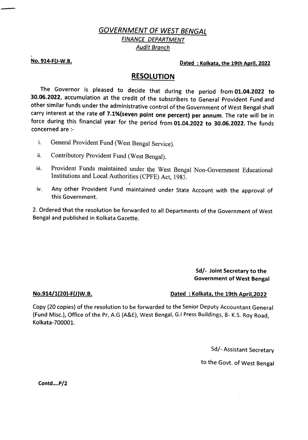## GOVERNMENT OF WEST BENGAL FINANCE DEPARTMENT Audit Branch

No. 914-FJ-W.B. Dated :Kolkata, the 19th April, 2022

### RESOLUTION

The Governor is pleased to decide that during the period from 01.04.2022 to 30.06.2022, accumulation at the credit of the subscribers to General Provident Fund and other similar funds under the administrative control of the Government of West Bengal shall carry interest at the rate of 7.1%{seven point one percent) per annum. The rate will be in force during this financial year for the period from 01.04.2022 to 30.06.2022. The funds concerned are :-

- General Provident Fund (West Bengal Service). i.
- ii. Contributory Provident Fund (West Bengal).
- Provident Funds maintained under the West Bengal Non-Government Educational Institutions and Local Authorities (CPFE) Act, 1983. ii.
- Any other Provident Fund maintained under State Account with the approval of this Government. iv.

2.Ordered that the resolution be forwarded to all Departments of the Government of West Bengal and published in Kolkata Gazette.

#### Sd/- Joint Secretary to the Government of West Bengal

#### No.914/1(20)-F(J)W.B. 2022 Cated : Kolkata, the 19th April, 2022

Copy (20 copies) of the resolution to be forwarded to the Senior Deputy Accountant General (Fund Misc.), Office of the Pr, A.G (A&E), West Bengal, G.! Press Buildings, 8- K.S. Roy Road, Kolkata-700001.

Sd/-Assistant Secretary

### to the Govt. of West Bengal

Contd....P/2